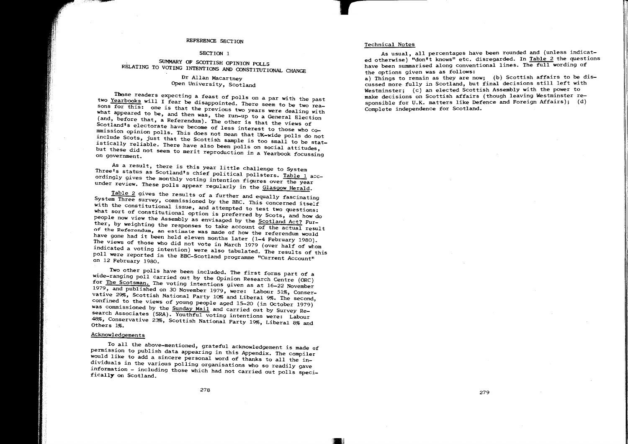# REFERENCE SECTION

#### SECTION<sub>1</sub>

#### SUMMARY OF SCOTTISH OPINION POLLS RELATING TO VOTING INTENTIONS AND OONSTITUTIONAL CHANGE

### Dr Allan Macartney Open University, Scotland

Tbose readers expecting a feast of polls on a par with the past two Yearbooks will I fear be disappointed. There seem to be two reasons for this: one is that the previous two years were dealing with what appeared to be, and then was, the run-up to a General Election (and, before that, a Referendum). The other is that the views of Scotland's electorate have become of less interest to those who commission opinion polls. This does not mean that UK-wide polls do not include Scots, just that the Scottish sample is too small to be statistically reliable. There have also been polls on social attitudes, but these did not seem to merit reproduction in a Yearbook focussing on government.

As a result, there is this year little challenge to System Three's status as Scotland's chief political pollsters. Table 1 accordingly gives the monthly voting intention figures over the year under review. These polls appear regularly in the Glasgow Herald.

Table *2* gives the results of a further and equally fascinating System Three survey, commissioned by the BBC. This concerned itself with the constitutional issue, and attempted to test two questions: what sort of constitutional option is preferred by Scots, and how do people now view the Assembly as envisaged by the Scotland Act? Further, by weighting the responses to take account of the actual result of the Referendum, an estimate was made of how the referendum would have gone had it been held eleven months later (1-4 February 1980). The views of those who did not vote in March 1979 (over half of whom indicated a voting intention) were also tabulated. The results of this poll were reported in the BBC-Scotland programme "Current Account" on 12 February 1980.

Two other polls have been included. The first forms part of a wide-ranging poll carried out by the Opinion Research Centre (ORC) for The Scotsman. The voting intentions given as at 16-22 November 1979, and published on 30 November 1979, were: Labour 51%, Conservative 29%, Scottish National Party 10% and Liberal 9%. The second, confined to the views of young people aged 15-20 (in October 1979) was commissioned by the Sunday Mail and carried out by Survey Research Associates (SRA). Youthful voting intentions were: Labour 48%, Conservative 23%, Scottish National Party 19%, Liberal 8% and Others 1%.

# Acknowledgements

To all the above-mentioned, grateful acknowledgement is made of permission to publish data appearing in this Appendix. The compiler would like to add a sincere personal word of thanks to all the individuals in the various polling organisations who so readily gave information - including those which had not carried out polls speci- fically on Scotland.

#### Technical Notes

As usual, all percentages have been rounded and (unless indicated otherwise) "don't knows" etc. disregarded. In Table 2 the questions have been summarised along conventional lines. The full wording of the options given was as follows:

a) Things to remain as they are now; (b) Scottish affairs to be discussed more fully in Scotland, but final decisions still left with Westminster: (c) an elected Scottish Assembly with the power to make decisions on Scottish affairs (though leaving Westminster responsible for U.K. matters like Defence and Foreign Affairs); (d) Complete independence for Scotland.